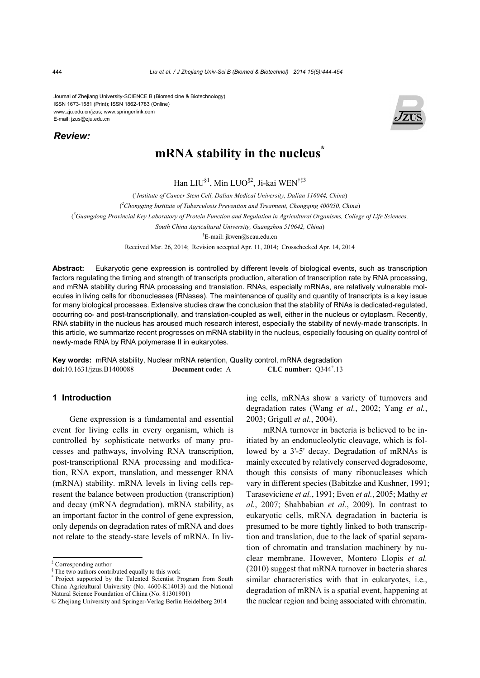Journal of Zhejiang University-SCIENCE B (Biomedicine & Biotechnology) ISSN 1673-1581 (Print); ISSN 1862-1783 (Online) www.zju.edu.cn/jzus; www.springerlink.com E-mail: jzus@zju.edu.cn

*Review:*



# **mRNA** stability in the nucleus<sup>\*</sup>

Han LIU§1, Min LUO§2, Ji-kai WEN†‡3

( *1 Institute of Cancer Stem Cell, Dalian Medical University, Dalian 116044, China*)

( *2 Chongqing Institute of Tuberculosis Prevention and Treatment, Chongqing 400050, China*)

( *3 Guangdong Provincial Key Laboratory of Protein Function and Regulation in Agricultural Organisms, College of Life Sciences,* 

*South China Agricultural University, Guangzhou 510642, China*)

† E-mail: jkwen@scau.edu.cn

Received Mar. 26, 2014; Revision accepted Apr. 11, 2014; Crosschecked Apr. 14, 2014

**Abstract:** Eukaryotic gene expression is controlled by different levels of biological events, such as transcription factors regulating the timing and strength of transcripts production, alteration of transcription rate by RNA processing, and mRNA stability during RNA processing and translation. RNAs, especially mRNAs, are relatively vulnerable molecules in living cells for ribonucleases (RNases). The maintenance of quality and quantity of transcripts is a key issue for many biological processes. Extensive studies draw the conclusion that the stability of RNAs is dedicated-regulated, occurring co- and post-transcriptionally, and translation-coupled as well, either in the nucleus or cytoplasm. Recently, RNA stability in the nucleus has aroused much research interest, especially the stability of newly-made transcripts. In this article, we summarize recent progresses on mRNA stability in the nucleus, especially focusing on quality control of newly-made RNA by RNA polymerase II in eukaryotes.

**Key words:** mRNA stability, Nuclear mRNA retention, Quality control, mRNA degradation **doi:**10.1631/jzus.B1400088 **Document code:** A CLC number:  $Q344^{\dagger}.13$ 

# **1 Introduction**

Gene expression is a fundamental and essential event for living cells in every organism, which is controlled by sophisticate networks of many processes and pathways, involving RNA transcription, post-transcriptional RNA processing and modification, RNA export, translation, and messenger RNA (mRNA) stability. mRNA levels in living cells represent the balance between production (transcription) and decay (mRNA degradation). mRNA stability, as an important factor in the control of gene expression, only depends on degradation rates of mRNA and does not relate to the steady-state levels of mRNA. In living cells, mRNAs show a variety of turnovers and degradation rates (Wang *et al.*, 2002; Yang *et al.*, 2003; Grigull *et al.*, 2004).

mRNA turnover in bacteria is believed to be initiated by an endonucleolytic cleavage, which is followed by a 3'-5' decay. Degradation of mRNAs is mainly executed by relatively conserved degradosome, though this consists of many ribonucleases which vary in different species (Babitzke and Kushner, 1991; Taraseviciene *et al.*, 1991; Even *et al.*, 2005; Mathy *et al.*, 2007; Shahbabian *et al.*, 2009). In contrast to eukaryotic cells, mRNA degradation in bacteria is presumed to be more tightly linked to both transcription and translation, due to the lack of spatial separation of chromatin and translation machinery by nuclear membrane. However, Montero Llopis *et al.* (2010) suggest that mRNA turnover in bacteria shares similar characteristics with that in eukaryotes, i.e., degradation of mRNA is a spatial event, happening at the nuclear region and being associated with chromatin.

<sup>‡</sup> Corresponding author

<sup>&</sup>lt;sup>§</sup> The two authors contributed equally to this work

<sup>\*</sup> Project supported by the Talented Scientist Program from South China Agricultural University (No. 4600-K14013) and the National Natural Science Foundation of China (No. 81301901)

<sup>©</sup> Zhejiang University and Springer-Verlag Berlin Heidelberg 2014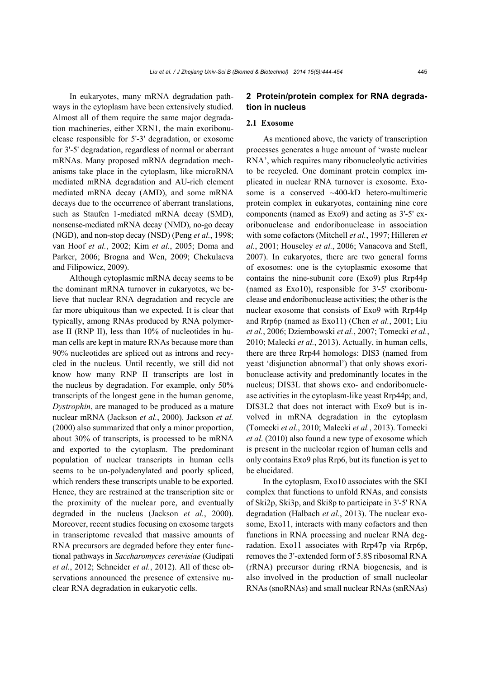In eukaryotes, many mRNA degradation pathways in the cytoplasm have been extensively studied. Almost all of them require the same major degradation machineries, either XRN1, the main exoribonuclease responsible for 5'-3' degradation, or exosome for 3'-5' degradation, regardless of normal or aberrant mRNAs. Many proposed mRNA degradation mechanisms take place in the cytoplasm, like microRNA mediated mRNA degradation and AU-rich element mediated mRNA decay (AMD), and some mRNA decays due to the occurrence of aberrant translations, such as Staufen 1-mediated mRNA decay (SMD), nonsense-mediated mRNA decay (NMD), no-go decay (NGD), and non-stop decay (NSD) (Peng *et al.*, 1998; van Hoof *et al.*, 2002; Kim *et al.*, 2005; Doma and Parker, 2006; Brogna and Wen, 2009; Chekulaeva and Filipowicz, 2009).

Although cytoplasmic mRNA decay seems to be the dominant mRNA turnover in eukaryotes, we believe that nuclear RNA degradation and recycle are far more ubiquitous than we expected. It is clear that typically, among RNAs produced by RNA polymerase II (RNP II), less than 10% of nucleotides in human cells are kept in mature RNAs because more than 90% nucleotides are spliced out as introns and recycled in the nucleus. Until recently, we still did not know how many RNP II transcripts are lost in the nucleus by degradation. For example, only 50% transcripts of the longest gene in the human genome, *Dystrophin*, are managed to be produced as a mature nuclear mRNA (Jackson *et al.*, 2000). Jackson *et al.* (2000) also summarized that only a minor proportion, about 30% of transcripts, is processed to be mRNA and exported to the cytoplasm. The predominant population of nuclear transcripts in human cells seems to be un-polyadenylated and poorly spliced, which renders these transcripts unable to be exported. Hence, they are restrained at the transcription site or the proximity of the nuclear pore, and eventually degraded in the nucleus (Jackson *et al.*, 2000). Moreover, recent studies focusing on exosome targets in transcriptome revealed that massive amounts of RNA precursors are degraded before they enter functional pathways in *Saccharomyces cerevisiae* (Gudipati *et al.*, 2012; Schneider *et al.*, 2012). All of these observations announced the presence of extensive nuclear RNA degradation in eukaryotic cells.

# **2 Protein/protein complex for RNA degradation in nucleus**

# **2.1 Exosome**

As mentioned above, the variety of transcription processes generates a huge amount of 'waste nuclear RNA', which requires many ribonucleolytic activities to be recycled. One dominant protein complex implicated in nuclear RNA turnover is exosome. Exosome is a conserved ~400-kD hetero-multimeric protein complex in eukaryotes, containing nine core components (named as Exo9) and acting as 3'-5' exoribonuclease and endoribonuclease in association with some cofactors (Mitchell *et al.*, 1997; Hilleren *et al.*, 2001; Houseley *et al.*, 2006; Vanacova and Stefl, 2007). In eukaryotes, there are two general forms of exosomes: one is the cytoplasmic exosome that contains the nine-subunit core (Exo9) plus Rrp44p (named as Exo10), responsible for 3'-5' exoribonuclease and endoribonuclease activities; the other is the nuclear exosome that consists of Exo9 with Rrp44p and Rrp6p (named as Exo11) (Chen *et al.*, 2001; Liu *et al.*, 2006; Dziembowski *et al.*, 2007; Tomecki *et al.*, 2010; Malecki *et al.*, 2013). Actually, in human cells, there are three Rrp44 homologs: DIS3 (named from yeast 'disjunction abnormal') that only shows exoribonuclease activity and predominantly locates in the nucleus; DIS3L that shows exo- and endoribonuclease activities in the cytoplasm-like yeast Rrp44p; and, DIS3L2 that does not interact with Exo9 but is involved in mRNA degradation in the cytoplasm (Tomecki *et al.*, 2010; Malecki *et al.*, 2013). Tomecki *et al*. (2010) also found a new type of exosome which is present in the nucleolar region of human cells and only contains Exo9 plus Rrp6, but its function is yet to be elucidated.

In the cytoplasm, Exo10 associates with the SKI complex that functions to unfold RNAs, and consists of Ski2p, Ski3p, and Ski8p to participate in 3'-5' RNA degradation (Halbach *et al.*, 2013). The nuclear exosome, Exo11, interacts with many cofactors and then functions in RNA processing and nuclear RNA degradation. Exo11 associates with Rrp47p via Rrp6p, removes the 3'-extended form of 5.8S ribosomal RNA (rRNA) precursor during rRNA biogenesis, and is also involved in the production of small nucleolar RNAs (snoRNAs) and small nuclear RNAs (snRNAs)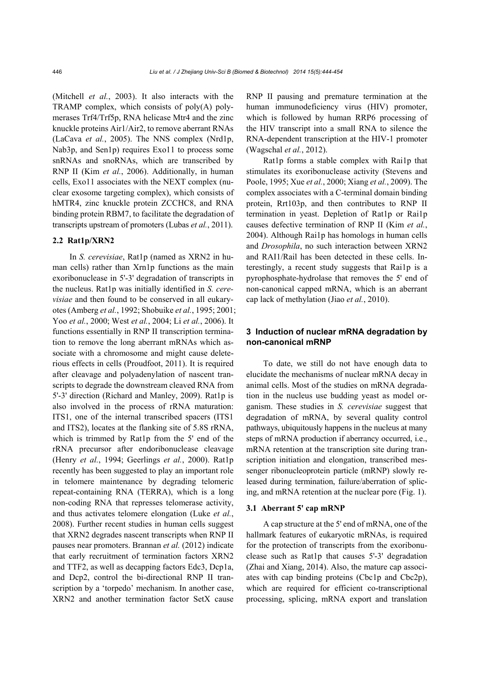(Mitchell *et al.*, 2003). It also interacts with the TRAMP complex, which consists of poly(A) polymerases Trf4/Trf5p, RNA helicase Mtr4 and the zinc knuckle proteins Air1/Air2, to remove aberrant RNAs (LaCava *et al.*, 2005). The NNS complex (Nrd1p, Nab3p, and Sen1p) requires Exo11 to process some snRNAs and snoRNAs, which are transcribed by RNP II (Kim *et al.*, 2006). Additionally, in human cells, Exo11 associates with the NEXT complex (nuclear exosome targeting complex), which consists of hMTR4, zinc knuckle protein ZCCHC8, and RNA binding protein RBM7, to facilitate the degradation of transcripts upstream of promoters (Lubas *et al.*, 2011).

# **2.2 Rat1p/XRN2**

In *S. cerevisiae*, Rat1p (named as XRN2 in human cells) rather than Xrn1p functions as the main exoribonuclease in 5'-3' degradation of transcripts in the nucleus. Rat1p was initially identified in *S. cerevisiae* and then found to be conserved in all eukaryotes (Amberg *et al.*, 1992; Shobuike *et al.*, 1995; 2001; Yoo *et al.*, 2000; West *et al.*, 2004; Li *et al.*, 2006). It functions essentially in RNP II transcription termination to remove the long aberrant mRNAs which associate with a chromosome and might cause deleterious effects in cells (Proudfoot, 2011). It is required after cleavage and polyadenylation of nascent transcripts to degrade the downstream cleaved RNA from 5'-3' direction (Richard and Manley, 2009). Rat1p is also involved in the process of rRNA maturation: ITS1, one of the internal transcribed spacers (ITS1 and ITS2), locates at the flanking site of 5.8S rRNA, which is trimmed by Rat1p from the 5' end of the rRNA precursor after endoribonuclease cleavage (Henry *et al.*, 1994; Geerlings *et al.*, 2000). Rat1p recently has been suggested to play an important role in telomere maintenance by degrading telomeric repeat-containing RNA (TERRA), which is a long non-coding RNA that represses telomerase activity, and thus activates telomere elongation (Luke *et al.*, 2008). Further recent studies in human cells suggest that XRN2 degrades nascent transcripts when RNP II pauses near promoters. Brannan *et al.* (2012) indicate that early recruitment of termination factors XRN2 and TTF2, as well as decapping factors Edc3, Dcp1a, and Dcp2, control the bi-directional RNP II transcription by a 'torpedo' mechanism. In another case, XRN2 and another termination factor SetX cause

RNP II pausing and premature termination at the human immunodeficiency virus (HIV) promoter, which is followed by human RRP6 processing of the HIV transcript into a small RNA to silence the RNA-dependent transcription at the HIV-1 promoter (Wagschal *et al.*, 2012).

Rat1p forms a stable complex with Rai1p that stimulates its exoribonuclease activity (Stevens and Poole, 1995; Xue *et al.*, 2000; Xiang *et al.*, 2009). The complex associates with a C-terminal domain binding protein, Rrt103p, and then contributes to RNP II termination in yeast. Depletion of Rat1p or Rai1p causes defective termination of RNP II (Kim *et al.*, 2004). Although Rai1p has homologs in human cells and *Drosophila*, no such interaction between XRN2 and RAI1/Rail has been detected in these cells. Interestingly, a recent study suggests that Rai1p is a pyrophosphate-hydrolase that removes the 5' end of non-canonical capped mRNA, which is an aberrant cap lack of methylation (Jiao *et al.*, 2010).

# **3 Induction of nuclear mRNA degradation by non-canonical mRNP**

To date, we still do not have enough data to elucidate the mechanisms of nuclear mRNA decay in animal cells. Most of the studies on mRNA degradation in the nucleus use budding yeast as model organism. These studies in *S. cerevisiae* suggest that degradation of mRNA, by several quality control pathways, ubiquitously happens in the nucleus at many steps of mRNA production if aberrancy occurred, i.e., mRNA retention at the transcription site during transcription initiation and elongation, transcribed messenger ribonucleoprotein particle (mRNP) slowly released during termination, failure/aberration of splicing, and mRNA retention at the nuclear pore (Fig. 1).

#### **3.1 Aberrant 5' cap mRNP**

A cap structure at the 5' end of mRNA, one of the hallmark features of eukaryotic mRNAs, is required for the protection of transcripts from the exoribonuclease such as Rat1p that causes 5'-3' degradation (Zhai and Xiang, 2014). Also, the mature cap associates with cap binding proteins (Cbc1p and Cbc2p), which are required for efficient co-transcriptional processing, splicing, mRNA export and translation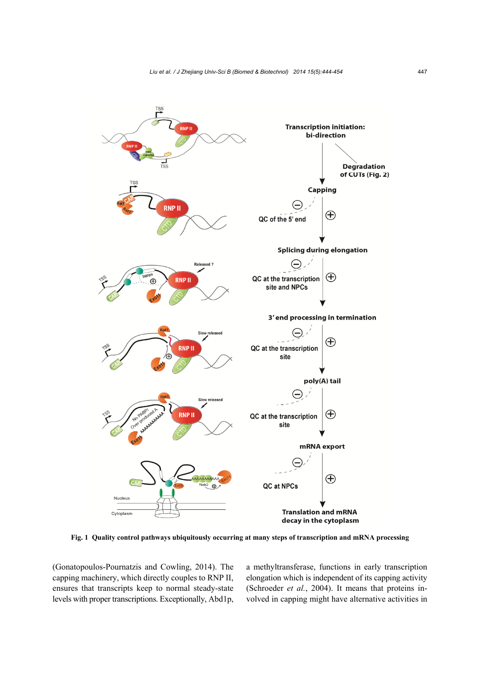

**Fig. 1 Quality control pathways ubiquitously occurring at many steps of transcription and mRNA processing** 

(Gonatopoulos-Pournatzis and Cowling, 2014). The capping machinery, which directly couples to RNP II, ensures that transcripts keep to normal steady-state levels with proper transcriptions. Exceptionally, Abd1p, a methyltransferase, functions in early transcription elongation which is independent of its capping activity (Schroeder *et al.*, 2004). It means that proteins involved in capping might have alternative activities in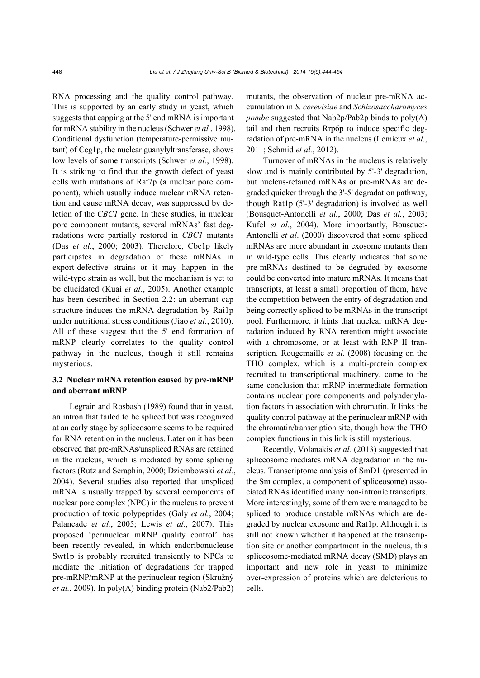RNA processing and the quality control pathway. This is supported by an early study in yeast, which suggests that capping at the 5' end mRNA is important for mRNA stability in the nucleus (Schwer *et al.*, 1998). Conditional dysfunction (temperature-permissive mutant) of Ceg1p, the nuclear guanylyltransferase, shows low levels of some transcripts (Schwer *et al.*, 1998). It is striking to find that the growth defect of yeast cells with mutations of Rat7p (a nuclear pore component), which usually induce nuclear mRNA retention and cause mRNA decay, was suppressed by deletion of the *CBC1* gene. In these studies, in nuclear pore component mutants, several mRNAs' fast degradations were partially restored in *CBC1* mutants (Das *et al.*, 2000; 2003). Therefore, Cbc1p likely participates in degradation of these mRNAs in export-defective strains or it may happen in the wild-type strain as well, but the mechanism is yet to be elucidated (Kuai *et al.*, 2005). Another example has been described in Section 2.2: an aberrant cap structure induces the mRNA degradation by Rai1p under nutritional stress conditions (Jiao *et al.*, 2010). All of these suggest that the 5' end formation of mRNP clearly correlates to the quality control pathway in the nucleus, though it still remains mysterious.

# **3.2 Nuclear mRNA retention caused by pre-mRNP and aberrant mRNP**

Legrain and Rosbash (1989) found that in yeast, an intron that failed to be spliced but was recognized at an early stage by spliceosome seems to be required for RNA retention in the nucleus. Later on it has been observed that pre-mRNAs/unspliced RNAs are retained in the nucleus, which is mediated by some splicing factors (Rutz and Seraphin, 2000; Dziembowski *et al.*, 2004). Several studies also reported that unspliced mRNA is usually trapped by several components of nuclear pore complex (NPC) in the nucleus to prevent production of toxic polypeptides (Galy *et al.*, 2004; Palancade *et al.*, 2005; Lewis *et al.*, 2007). This proposed 'perinuclear mRNP quality control' has been recently revealed, in which endoribonuclease Swt1p is probably recruited transiently to NPCs to mediate the initiation of degradations for trapped pre-mRNP/mRNP at the perinuclear region (Skružný *et al.*, 2009). In poly(A) binding protein (Nab2/Pab2)

mutants, the observation of nuclear pre-mRNA accumulation in *S. cerevisiae* and *Schizosaccharomyces pombe* suggested that Nab2p/Pab2p binds to poly(A) tail and then recruits Rrp6p to induce specific degradation of pre-mRNA in the nucleus (Lemieux *et al.*, 2011; Schmid *et al.*, 2012).

Turnover of mRNAs in the nucleus is relatively slow and is mainly contributed by 5'-3' degradation, but nucleus-retained mRNAs or pre-mRNAs are degraded quicker through the 3'-5' degradation pathway, though Rat1p (5'-3' degradation) is involved as well (Bousquet-Antonelli *et al.*, 2000; Das *et al.*, 2003; Kufel *et al.*, 2004). More importantly, Bousquet-Antonelli *et al*. (2000) discovered that some spliced mRNAs are more abundant in exosome mutants than in wild-type cells. This clearly indicates that some pre-mRNAs destined to be degraded by exosome could be converted into mature mRNAs. It means that transcripts, at least a small proportion of them, have the competition between the entry of degradation and being correctly spliced to be mRNAs in the transcript pool. Furthermore, it hints that nuclear mRNA degradation induced by RNA retention might associate with a chromosome, or at least with RNP II transcription. Rougemaille *et al.* (2008) focusing on the THO complex, which is a multi-protein complex recruited to transcriptional machinery, come to the same conclusion that mRNP intermediate formation contains nuclear pore components and polyadenylation factors in association with chromatin. It links the quality control pathway at the perinuclear mRNP with the chromatin/transcription site, though how the THO complex functions in this link is still mysterious.

Recently, Volanakis *et al.* (2013) suggested that spliceosome mediates mRNA degradation in the nucleus. Transcriptome analysis of SmD1 (presented in the Sm complex, a component of spliceosome) associated RNAs identified many non-intronic transcripts. More interestingly, some of them were managed to be spliced to produce unstable mRNAs which are degraded by nuclear exosome and Rat1p. Although it is still not known whether it happened at the transcription site or another compartment in the nucleus, this spliceosome-mediated mRNA decay (SMD) plays an important and new role in yeast to minimize over-expression of proteins which are deleterious to cells.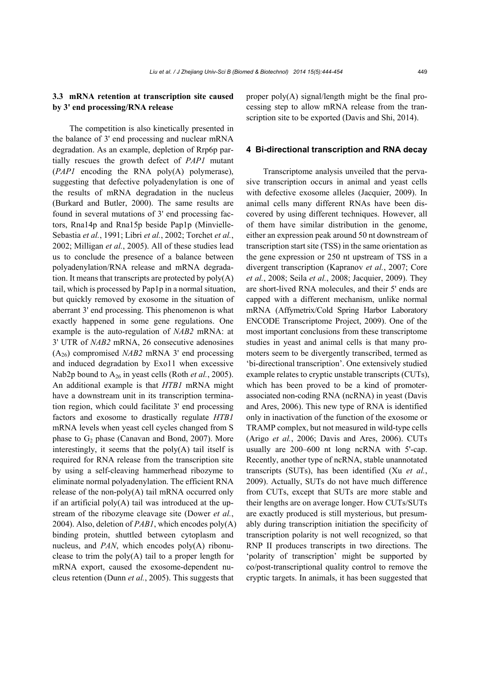# **3.3 mRNA retention at transcription site caused by 3' end processing/RNA release**

The competition is also kinetically presented in the balance of 3' end processing and nuclear mRNA degradation. As an example, depletion of Rrp6p partially rescues the growth defect of *PAP1* mutant (*PAP1* encoding the RNA poly(A) polymerase), suggesting that defective polyadenylation is one of the results of mRNA degradation in the nucleus (Burkard and Butler, 2000). The same results are found in several mutations of 3' end processing factors, Rna14p and Rna15p beside Pap1p (Minvielle-Sebastia *et al.*, 1991; Libri *et al.*, 2002; Torchet *et al.*, 2002; Milligan *et al.*, 2005). All of these studies lead us to conclude the presence of a balance between polyadenylation/RNA release and mRNA degradation. It means that transcripts are protected by  $poly(A)$ tail, which is processed by Pap1p in a normal situation, but quickly removed by exosome in the situation of aberrant 3' end processing. This phenomenon is what exactly happened in some gene regulations. One example is the auto-regulation of *NAB2* mRNA: at 3' UTR of *NAB2* mRNA, 26 consecutive adenosines (A26) compromised *NAB2* mRNA 3' end processing and induced degradation by Exo11 when excessive Nab2p bound to A26 in yeast cells (Roth *et al.*, 2005). An additional example is that *HTB1* mRNA might have a downstream unit in its transcription termination region, which could facilitate 3' end processing factors and exosome to drastically regulate *HTB1* mRNA levels when yeast cell cycles changed from S phase to  $G_2$  phase (Canavan and Bond, 2007). More interestingly, it seems that the  $poly(A)$  tail itself is required for RNA release from the transcription site by using a self-cleaving hammerhead ribozyme to eliminate normal polyadenylation. The efficient RNA release of the non-poly(A) tail mRNA occurred only if an artificial poly $(A)$  tail was introduced at the upstream of the ribozyme cleavage site (Dower *et al.*, 2004). Also, deletion of *PAB1*, which encodes poly(A) binding protein, shuttled between cytoplasm and nucleus, and *PAN*, which encodes poly(A) ribonuclease to trim the  $poly(A)$  tail to a proper length for mRNA export, caused the exosome-dependent nucleus retention (Dunn *et al.*, 2005). This suggests that

proper poly(A) signal/length might be the final processing step to allow mRNA release from the transcription site to be exported (Davis and Shi, 2014).

### **4 Bi-directional transcription and RNA decay**

Transcriptome analysis unveiled that the pervasive transcription occurs in animal and yeast cells with defective exosome alleles (Jacquier, 2009). In animal cells many different RNAs have been discovered by using different techniques. However, all of them have similar distribution in the genome, either an expression peak around 50 nt downstream of transcription start site (TSS) in the same orientation as the gene expression or 250 nt upstream of TSS in a divergent transcription (Kapranov *et al.*, 2007; Core *et al.*, 2008; Seila *et al.*, 2008; Jacquier, 2009). They are short-lived RNA molecules, and their 5' ends are capped with a different mechanism, unlike normal mRNA (Affymetrix/Cold Spring Harbor Laboratory ENCODE Transcriptome Project, 2009). One of the most important conclusions from these transcriptome studies in yeast and animal cells is that many promoters seem to be divergently transcribed, termed as 'bi-directional transcription'. One extensively studied example relates to cryptic unstable transcripts (CUTs), which has been proved to be a kind of promoterassociated non-coding RNA (ncRNA) in yeast (Davis and Ares, 2006). This new type of RNA is identified only in inactivation of the function of the exosome or TRAMP complex, but not measured in wild-type cells (Arigo *et al.*, 2006; Davis and Ares, 2006). CUTs usually are 200–600 nt long ncRNA with 5'-cap. Recently, another type of ncRNA, stable unannotated transcripts (SUTs), has been identified (Xu *et al.*, 2009). Actually, SUTs do not have much difference from CUTs, except that SUTs are more stable and their lengths are on average longer. How CUTs/SUTs are exactly produced is still mysterious, but presumably during transcription initiation the specificity of transcription polarity is not well recognized, so that RNP II produces transcripts in two directions. The 'polarity of transcription' might be supported by co/post-transcriptional quality control to remove the cryptic targets. In animals, it has been suggested that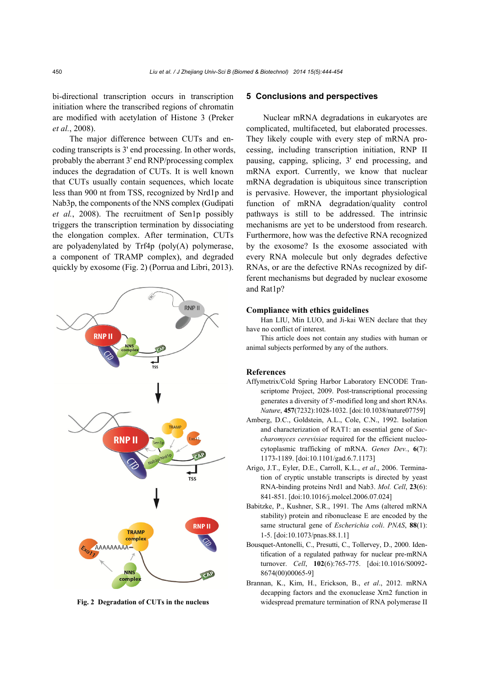bi-directional transcription occurs in transcription initiation where the transcribed regions of chromatin are modified with acetylation of Histone 3 (Preker *et al.*, 2008).

The major difference between CUTs and encoding transcripts is 3' end processing. In other words, probably the aberrant 3' end RNP/processing complex induces the degradation of CUTs. It is well known that CUTs usually contain sequences, which locate less than 900 nt from TSS, recognized by Nrd1p and Nab3p, the components of the NNS complex (Gudipati *et al.*, 2008). The recruitment of Sen1p possibly triggers the transcription termination by dissociating the elongation complex. After termination, CUTs are polyadenylated by  $Trf4p$  (poly $(A)$  polymerase, a component of TRAMP complex), and degraded quickly by exosome (Fig. 2) (Porrua and Libri, 2013).



# **5 Conclusions and perspectives**

Nuclear mRNA degradations in eukaryotes are complicated, multifaceted, but elaborated processes. They likely couple with every step of mRNA processing, including transcription initiation, RNP II pausing, capping, splicing, 3' end processing, and mRNA export. Currently, we know that nuclear mRNA degradation is ubiquitous since transcription is pervasive. However, the important physiological function of mRNA degradation/quality control pathways is still to be addressed. The intrinsic mechanisms are yet to be understood from research. Furthermore, how was the defective RNA recognized by the exosome? Is the exosome associated with every RNA molecule but only degrades defective RNAs, or are the defective RNAs recognized by different mechanisms but degraded by nuclear exosome and Rat1p?

#### **Compliance with ethics guidelines**

Han LIU, Min LUO, and Ji-kai WEN declare that they have no conflict of interest.

This article does not contain any studies with human or animal subjects performed by any of the authors.

#### **References**

- Affymetrix/Cold Spring Harbor Laboratory ENCODE Transcriptome Project, 2009. Post-transcriptional processing generates a diversity of 5'-modified long and short RNAs. *Nature*, **457**(7232):1028-1032. [doi:10.1038/nature07759]
- Amberg, D.C., Goldstein, A.L., Cole, C.N., 1992. Isolation and characterization of RAT1: an essential gene of *Saccharomyces cerevisiae* required for the efficient nucleocytoplasmic trafficking of mRNA. *Genes Dev.*, **6**(7): 1173-1189. [doi:10.1101/gad.6.7.1173]
- Arigo, J.T., Eyler, D.E., Carroll, K.L., *et al*., 2006. Termination of cryptic unstable transcripts is directed by yeast RNA-binding proteins Nrd1 and Nab3. *Mol. Cell*, **23**(6): 841-851. [doi:10.1016/j.molcel.2006.07.024]
- Babitzke, P., Kushner, S.R., 1991. The Ams (altered mRNA stability) protein and ribonuclease E are encoded by the same structural gene of *Escherichia coli*. *PNAS*, **88**(1): 1-5. [doi:10.1073/pnas.88.1.1]
- Bousquet-Antonelli, C., Presutti, C., Tollervey, D., 2000. Identification of a regulated pathway for nuclear pre-mRNA turnover. *Cell*, **102**(6):765-775. [doi:10.1016/S0092- 8674(00)00065-9]
- Brannan, K., Kim, H., Erickson, B., *et al*., 2012. mRNA decapping factors and the exonuclease Xrn2 function in **Fig. 2 Degradation of CUTs in the nucleus** widespread premature termination of RNA polymerase II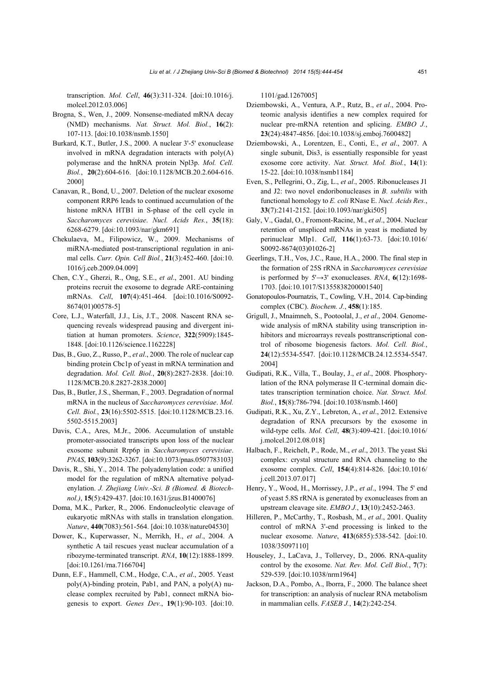transcription. *Mol. Cell*, **46**(3):311-324. [doi:10.1016/j. molcel.2012.03.006]

- Brogna, S., Wen, J., 2009. Nonsense-mediated mRNA decay (NMD) mechanisms. *Nat. Struct. Mol. Biol.*, **16**(2): 107-113. [doi:10.1038/nsmb.1550]
- Burkard, K.T., Butler, J.S., 2000. A nuclear 3'-5' exonuclease involved in mRNA degradation interacts with poly(A) polymerase and the hnRNA protein Npl3p. *Mol. Cell. Biol.*, **20**(2):604-616. [doi:10.1128/MCB.20.2.604-616. 2000]
- Canavan, R., Bond, U., 2007. Deletion of the nuclear exosome component RRP6 leads to continued accumulation of the histone mRNA HTB1 in S-phase of the cell cycle in *Saccharomyces cerevisiae*. *Nucl. Acids Res.*, **35**(18): 6268-6279. [doi:10.1093/nar/gkm691]
- Chekulaeva, M., Filipowicz, W., 2009. Mechanisms of miRNA-mediated post-transcriptional regulation in animal cells. *Curr. Opin. Cell Biol.*, **21**(3):452-460. [doi:10. 1016/j.ceb.2009.04.009]
- Chen, C.Y., Gherzi, R., Ong, S.E., *et al*., 2001. AU binding proteins recruit the exosome to degrade ARE-containing mRNAs. *Cell*, **107**(4):451-464. [doi:10.1016/S0092- 8674(01)00578-5]
- Core, L.J., Waterfall, J.J., Lis, J.T., 2008. Nascent RNA sequencing reveals widespread pausing and divergent initiation at human promoters. *Science*, **322**(5909):1845- 1848. [doi:10.1126/science.1162228]
- Das, B., Guo, Z., Russo, P., *et al*., 2000. The role of nuclear cap binding protein Cbc1p of yeast in mRNA termination and degradation. *Mol. Cell. Biol.*, **20**(8):2827-2838. [doi:10. 1128/MCB.20.8.2827-2838.2000]
- Das, B., Butler, J.S., Sherman, F., 2003. Degradation of normal mRNA in the nucleus of *Saccharomyces cerevisiae*. *Mol. Cell. Biol.*, **23**(16):5502-5515. [doi:10.1128/MCB.23.16. 5502-5515.2003]
- Davis, C.A., Ares, M.Jr., 2006. Accumulation of unstable promoter-associated transcripts upon loss of the nuclear exosome subunit Rrp6p in *Saccharomyces cerevisiae*. *PNAS*, **103**(9):3262-3267. [doi:10.1073/pnas.0507783103]
- Davis, R., Shi, Y., 2014. The polyadenylation code: a unified model for the regulation of mRNA alternative polyadenylation. *J. Zhejiang Univ.-Sci. B (Biomed. & Biotechnol.)*, **15**(5):429-437. [doi:10.1631/jzus.B1400076]
- Doma, M.K., Parker, R., 2006. Endonucleolytic cleavage of eukaryotic mRNAs with stalls in translation elongation. *Nature*, **440**(7083):561-564. [doi:10.1038/nature04530]
- Dower, K., Kuperwasser, N., Merrikh, H., *et al*., 2004. A synthetic A tail rescues yeast nuclear accumulation of a ribozyme-terminated transcript. *RNA*, **10**(12):1888-1899. [doi:10.1261/rna.7166704]
- Dunn, E.F., Hammell, C.M., Hodge, C.A., *et al*., 2005. Yeast poly(A)-binding protein, Pab1, and PAN, a poly(A) nuclease complex recruited by Pab1, connect mRNA biogenesis to export. *Genes Dev.*, **19**(1):90-103. [doi:10.

1101/gad.1267005]

- Dziembowski, A., Ventura, A.P., Rutz, B., *et al*., 2004. Proteomic analysis identifies a new complex required for nuclear pre-mRNA retention and splicing. *EMBO J.*, **23**(24):4847-4856. [doi:10.1038/sj.emboj.7600482]
- Dziembowski, A., Lorentzen, E., Conti, E., *et al*., 2007. A single subunit, Dis3, is essentially responsible for yeast exosome core activity. *Nat. Struct. Mol. Biol.*, **14**(1): 15-22. [doi:10.1038/nsmb1184]
- Even, S., Pellegrini, O., Zig, L., *et al*., 2005. Ribonucleases J1 and J2: two novel endoribonucleases in *B. subtilis* with functional homology to *E. coli* RNase E. *Nucl. Acids Res.*, **33**(7):2141-2152. [doi:10.1093/nar/gki505]
- Galy, V., Gadal, O., Fromont-Racine, M., *et al*., 2004. Nuclear retention of unspliced mRNAs in yeast is mediated by perinuclear Mlp1. *Cell*, **116**(1):63-73. [doi:10.1016/ S0092-8674(03)01026-2]
- Geerlings, T.H., Vos, J.C., Raue, H.A., 2000. The final step in the formation of 25S rRNA in *Saccharomyces cerevisiae* is performed by 5'→3' exonucleases. *RNA*, **6**(12):1698- 1703. [doi:10.1017/S1355838200001540]
- Gonatopoulos-Pournatzis, T., Cowling, V.H., 2014. Cap-binding complex (CBC). *Biochem. J.*, **458**(1):185.
- Grigull, J., Mnaimneh, S., Pootoolal, J., *et al*., 2004. Genomewide analysis of mRNA stability using transcription inhibitors and microarrays reveals posttranscriptional control of ribosome biogenesis factors. *Mol. Cell. Biol.*, **24**(12):5534-5547. [doi:10.1128/MCB.24.12.5534-5547. 2004]
- Gudipati, R.K., Villa, T., Boulay, J., *et al*., 2008. Phosphorylation of the RNA polymerase II C-terminal domain dictates transcription termination choice. *Nat. Struct. Mol. Biol.*, **15**(8):786-794. [doi:10.1038/nsmb.1460]
- Gudipati, R.K., Xu, Z.Y., Lebreton, A., *et al*., 2012. Extensive degradation of RNA precursors by the exosome in wild-type cells. *Mol. Cell*, **48**(3):409-421. [doi:10.1016/ j.molcel.2012.08.018]
- Halbach, F., Reichelt, P., Rode, M., *et al*., 2013. The yeast Ski complex: crystal structure and RNA channeling to the exosome complex. *Cell*, **154**(4):814-826. [doi:10.1016/ j.cell.2013.07.017]
- Henry, Y., Wood, H., Morrissey, J.P., *et al*., 1994. The 5' end of yeast 5.8S rRNA is generated by exonucleases from an upstream cleavage site. *EMBO J.*, **13**(10):2452-2463.
- Hilleren, P., McCarthy, T., Rosbash, M., *et al*., 2001. Quality control of mRNA 3'-end processing is linked to the nuclear exosome. *Nature*, **413**(6855):538-542. [doi:10. 1038/35097110]
- Houseley, J., LaCava, J., Tollervey, D., 2006. RNA-quality control by the exosome. *Nat. Rev. Mol. Cell Biol.*, **7**(7): 529-539. [doi:10.1038/nrm1964]
- Jackson, D.A., Pombo, A., Iborra, F., 2000. The balance sheet for transcription: an analysis of nuclear RNA metabolism in mammalian cells. *FASEB J.*, **14**(2):242-254.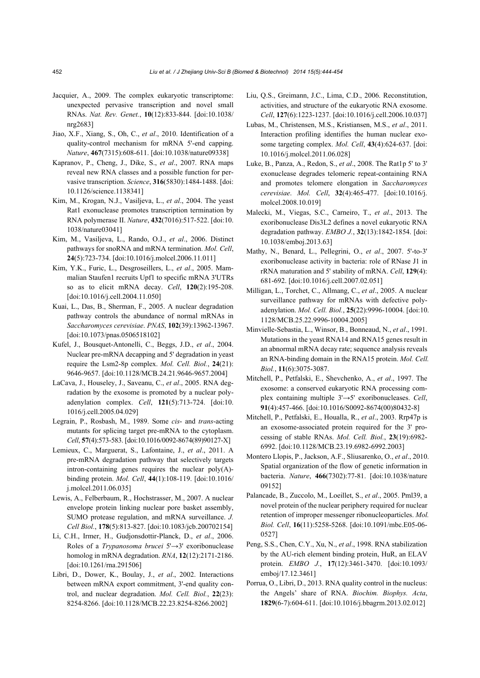- Jacquier, A., 2009. The complex eukaryotic transcriptome: unexpected pervasive transcription and novel small RNAs. *Nat. Rev. Genet.*, **10**(12):833-844. [doi:10.1038/ nrg2683]
- Jiao, X.F., Xiang, S., Oh, C., *et al*., 2010. Identification of a quality-control mechanism for mRNA 5'-end capping. *Nature*, **467**(7315):608-611. [doi:10.1038/nature09338]
- Kapranov, P., Cheng, J., Dike, S., *et al*., 2007. RNA maps reveal new RNA classes and a possible function for pervasive transcription. *Science*, **316**(5830):1484-1488. [doi: 10.1126/science.1138341]
- Kim, M., Krogan, N.J., Vasiljeva, L., *et al*., 2004. The yeast Rat1 exonuclease promotes transcription termination by RNA polymerase II. *Nature*, **432**(7016):517-522. [doi:10. 1038/nature03041]
- Kim, M., Vasiljeva, L., Rando, O.J., *et al*., 2006. Distinct pathways for snoRNA and mRNA termination. *Mol. Cell*, **24**(5):723-734. [doi:10.1016/j.molcel.2006.11.011]
- Kim, Y.K., Furic, L., Desgroseillers, L., *et al*., 2005. Mammalian Staufen1 recruits Upf1 to specific mRNA 3'UTRs so as to elicit mRNA decay. *Cell*, **120**(2):195-208. [doi:10.1016/j.cell.2004.11.050]
- Kuai, L., Das, B., Sherman, F., 2005. A nuclear degradation pathway controls the abundance of normal mRNAs in *Saccharomyces cerevisiae*. *PNAS*, **102**(39):13962-13967. [doi:10.1073/pnas.0506518102]
- Kufel, J., Bousquet-Antonelli, C., Beggs, J.D., *et al*., 2004. Nuclear pre-mRNA decapping and 5' degradation in yeast require the Lsm2-8p complex. *Mol. Cell. Biol.*, **24**(21): 9646-9657. [doi:10.1128/MCB.24.21.9646-9657.2004]
- LaCava, J., Houseley, J., Saveanu, C., *et al*., 2005. RNA degradation by the exosome is promoted by a nuclear polyadenylation complex. *Cell*, **121**(5):713-724. [doi:10. 1016/j.cell.2005.04.029]
- Legrain, P., Rosbash, M., 1989. Some *cis* and *trans*-acting mutants for splicing target pre-mRNA to the cytoplasm. *Cell*, **57**(4):573-583. [doi:10.1016/0092-8674(89)90127-X]
- Lemieux, C., Marguerat, S., Lafontaine, J., *et al*., 2011. A pre-mRNA degradation pathway that selectively targets intron-containing genes requires the nuclear  $poly(A)$ binding protein. *Mol. Cell*, **44**(1):108-119. [doi:10.1016/ j.molcel.2011.06.035]
- Lewis, A., Felberbaum, R., Hochstrasser, M., 2007. A nuclear envelope protein linking nuclear pore basket assembly, SUMO protease regulation, and mRNA surveillance. *J. Cell Biol.*, **178**(5):813-827. [doi:10.1083/jcb.200702154]
- Li, C.H., Irmer, H., Gudjonsdottir-Planck, D., *et al*., 2006. Roles of a *Trypanosoma brucei* 5'→3' exoribonuclease homolog in mRNA degradation. *RNA*, **12**(12):2171-2186. [doi:10.1261/rna.291506]
- Libri, D., Dower, K., Boulay, J., *et al*., 2002. Interactions between mRNA export commitment, 3'-end quality control, and nuclear degradation. *Mol. Cell. Biol.*, **22**(23): 8254-8266. [doi:10.1128/MCB.22.23.8254-8266.2002]
- Liu, Q.S., Greimann, J.C., Lima, C.D., 2006. Reconstitution, activities, and structure of the eukaryotic RNA exosome. *Cell*, **127**(6):1223-1237. [doi:10.1016/j.cell.2006.10.037]
- Lubas, M., Christensen, M.S., Kristiansen, M.S., *et al*., 2011. Interaction profiling identifies the human nuclear exosome targeting complex. *Mol. Cell*, **43**(4):624-637. [doi: 10.1016/j.molcel.2011.06.028]
- Luke, B., Panza, A., Redon, S., *et al*., 2008. The Rat1p 5' to 3' exonuclease degrades telomeric repeat-containing RNA and promotes telomere elongation in *Saccharomyces cerevisiae*. *Mol. Cell*, **32**(4):465-477. [doi:10.1016/j. molcel.2008.10.019]
- Malecki, M., Viegas, S.C., Carneiro, T., *et al*., 2013. The exoribonuclease Dis3L2 defines a novel eukaryotic RNA degradation pathway. *EMBO J.*, **32**(13):1842-1854. [doi: 10.1038/emboj.2013.63]
- Mathy, N., Benard, L., Pellegrini, O., *et al*., 2007. 5'-to-3' exoribonuclease activity in bacteria: role of RNase J1 in rRNA maturation and 5' stability of mRNA. *Cell*, **129**(4): 681-692. [doi:10.1016/j.cell.2007.02.051]
- Milligan, L., Torchet, C., Allmang, C., *et al*., 2005. A nuclear surveillance pathway for mRNAs with defective polyadenylation. *Mol. Cell. Biol.*, **25**(22):9996-10004. [doi:10. 1128/MCB.25.22.9996-10004.2005]
- Minvielle-Sebastia, L., Winsor, B., Bonneaud, N., *et al*., 1991. Mutations in the yeast RNA14 and RNA15 genes result in an abnormal mRNA decay rate; sequence analysis reveals an RNA-binding domain in the RNA15 protein. *Mol. Cell. Biol.*, **11**(6):3075-3087.
- Mitchell, P., Petfalski, E., Shevchenko, A., *et al*., 1997. The exosome: a conserved eukaryotic RNA processing complex containing multiple 3'→5' exoribonucleases. *Cell*, **91**(4):457-466. [doi:10.1016/S0092-8674(00)80432-8]
- Mitchell, P., Petfalski, E., Houalla, R., *et al*., 2003. Rrp47p is an exosome-associated protein required for the 3' processing of stable RNAs. *Mol. Cell. Biol.*, **23**(19):6982- 6992. [doi:10.1128/MCB.23.19.6982-6992.2003]
- Montero Llopis, P., Jackson, A.F., Sliusarenko, O., *et al*., 2010. Spatial organization of the flow of genetic information in bacteria. *Nature*, **466**(7302):77-81. [doi:10.1038/nature 09152]
- Palancade, B., Zuccolo, M., Loeillet, S., *et al*., 2005. Pml39, a novel protein of the nuclear periphery required for nuclear retention of improper messenger ribonucleoparticles. *Mol. Biol. Cell*, **16**(11):5258-5268. [doi:10.1091/mbc.E05-06- 0527]
- Peng, S.S., Chen, C.Y., Xu, N., *et al*., 1998. RNA stabilization by the AU-rich element binding protein, HuR, an ELAV protein. *EMBO J.*, **17**(12):3461-3470. [doi:10.1093/ emboj/17.12.3461]
- Porrua, O., Libri, D., 2013. RNA quality control in the nucleus: the Angels' share of RNA. *Biochim. Biophys. Acta*, **1829**(6-7):604-611. [doi:10.1016/j.bbagrm.2013.02.012]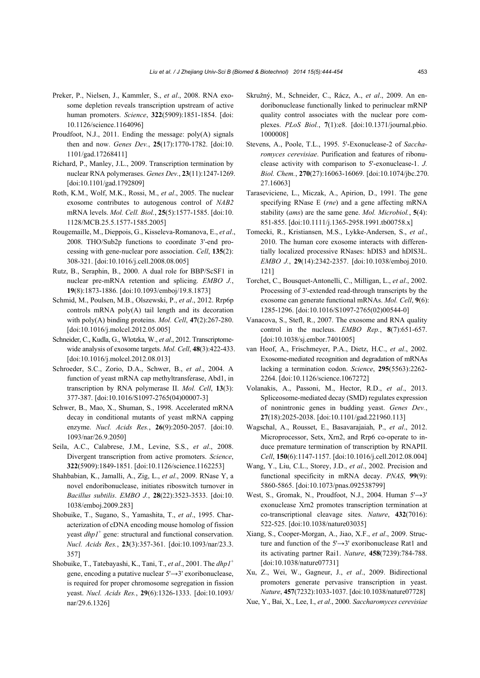- Preker, P., Nielsen, J., Kammler, S., *et al*., 2008. RNA exosome depletion reveals transcription upstream of active human promoters. *Science*, **322**(5909):1851-1854. [doi: 10.1126/science.1164096]
- Proudfoot, N.J., 2011. Ending the message: poly(A) signals then and now. *Genes Dev.*, **25**(17):1770-1782. [doi:10. 1101/gad.17268411]
- Richard, P., Manley, J.L., 2009. Transcription termination by nuclear RNA polymerases. *Genes Dev.*, **23**(11):1247-1269. [doi:10.1101/gad.1792809]
- Roth, K.M., Wolf, M.K., Rossi, M., *et al*., 2005. The nuclear exosome contributes to autogenous control of *NAB2* mRNA levels. *Mol. Cell. Biol.*, **25**(5):1577-1585. [doi:10. 1128/MCB.25.5.1577-1585.2005]
- Rougemaille, M., Dieppois, G., Kisseleva-Romanova, E., *et al*., 2008. THO/Sub2p functions to coordinate 3'-end processing with gene-nuclear pore association. *Cell*, **135**(2): 308-321. [doi:10.1016/j.cell.2008.08.005]
- Rutz, B., Seraphin, B., 2000. A dual role for BBP/ScSF1 in nuclear pre-mRNA retention and splicing. *EMBO J.*, **19**(8):1873-1886. [doi:10.1093/emboj/19.8.1873]
- Schmid, M., Poulsen, M.B., Olszewski, P., *et al*., 2012. Rrp6p controls mRNA poly(A) tail length and its decoration with poly(A) binding proteins. *Mol. Cell*, **47**(2):267-280. [doi:10.1016/j.molcel.2012.05.005]
- Schneider, C., Kudla, G., Wlotzka, W., *et al*., 2012. Transcriptomewide analysis of exosome targets. *Mol. Cell*, **48**(3):422-433. [doi:10.1016/j.molcel.2012.08.013]
- Schroeder, S.C., Zorio, D.A., Schwer, B., *et al*., 2004. A function of yeast mRNA cap methyltransferase, Abd1, in transcription by RNA polymerase II. *Mol. Cell*, **13**(3): 377-387. [doi:10.1016/S1097-2765(04)00007-3]
- Schwer, B., Mao, X., Shuman, S., 1998. Accelerated mRNA decay in conditional mutants of yeast mRNA capping enzyme. *Nucl. Acids Res.*, **26**(9):2050-2057. [doi:10. 1093/nar/26.9.2050]
- Seila, A.C., Calabrese, J.M., Levine, S.S., *et al*., 2008. Divergent transcription from active promoters. *Science*, **322**(5909):1849-1851. [doi:10.1126/science.1162253]
- Shahbabian, K., Jamalli, A., Zig, L., *et al*., 2009. RNase Y, a novel endoribonuclease, initiates riboswitch turnover in *Bacillus subtilis*. *EMBO J.*, **28**(22):3523-3533. [doi:10. 1038/emboj.2009.283]
- Shobuike, T., Sugano, S., Yamashita, T., *et al*., 1995. Characterization of cDNA encoding mouse homolog of fission yeast *dhp1*<sup>+</sup> gene: structural and functional conservation. *Nucl. Acids Res.*, **23**(3):357-361. [doi:10.1093/nar/23.3. 357]
- Shobuike, T., Tatebayashi, K., Tani, T., *et al*., 2001. The *dhp1*<sup>+</sup> gene, encoding a putative nuclear 5'→3' exoribonuclease, is required for proper chromosome segregation in fission yeast. *Nucl. Acids Res.*, **29**(6):1326-1333. [doi:10.1093/ nar/29.6.1326]
- Skružný, M., Schneider, C., Rácz, A., *et al*., 2009. An endoribonuclease functionally linked to perinuclear mRNP quality control associates with the nuclear pore complexes. *PLoS Biol.*, **7**(1):e8. [doi:10.1371/journal.pbio. 1000008]
- Stevens, A., Poole, T.L., 1995. 5'-Exonuclease-2 of *Saccharomyces cerevisiae*. Purification and features of ribonuclease activity with comparison to 5'-exonuclease-1. *J. Biol. Chem.*, **270**(27):16063-16069. [doi:10.1074/jbc.270. 27.16063]
- Taraseviciene, L., Miczak, A., Apirion, D., 1991. The gene specifying RNase E (*rne*) and a gene affecting mRNA stability (*ams*) are the same gene. *Mol. Microbiol.*, **5**(4): 851-855. [doi:10.1111/j.1365-2958.1991.tb00758.x]
- Tomecki, R., Kristiansen, M.S., Lykke-Andersen, S., *et al.*, 2010. The human core exosome interacts with differentially localized processive RNases: hDIS3 and hDIS3L. *EMBO J.*, **29**(14):2342-2357. [doi:10.1038/emboj.2010. 121]
- Torchet, C., Bousquet-Antonelli, C., Milligan, L., *et al*., 2002. Processing of 3'-extended read-through transcripts by the exosome can generate functional mRNAs. *Mol. Cell*, **9**(6): 1285-1296. [doi:10.1016/S1097-2765(02)00544-0]
- Vanacova, S., Stefl, R., 2007. The exosome and RNA quality control in the nucleus. *EMBO Rep.*, **8**(7):651-657. [doi:10.1038/sj.embor.7401005]
- van Hoof, A., Frischmeyer, P.A., Dietz, H.C., *et al*., 2002. Exosome-mediated recognition and degradation of mRNAs lacking a termination codon. *Science*, **295**(5563):2262- 2264. [doi:10.1126/science.1067272]
- Volanakis, A., Passoni, M., Hector, R.D., *et al*., 2013. Spliceosome-mediated decay (SMD) regulates expression of nonintronic genes in budding yeast. *Genes Dev.*, **27**(18):2025-2038. [doi:10.1101/gad.221960.113]
- Wagschal, A., Rousset, E., Basavarajaiah, P., *et al*., 2012. Microprocessor, Setx, Xrn2, and Rrp6 co-operate to induce premature termination of transcription by RNAPII. *Cell*, **150**(6):1147-1157. [doi:10.1016/j.cell.2012.08.004]
- Wang, Y., Liu, C.L., Storey, J.D., *et al*., 2002. Precision and functional specificity in mRNA decay. *PNAS*, **99**(9): 5860-5865. [doi:10.1073/pnas.092538799]
- West, S., Gromak, N., Proudfoot, N.J., 2004. Human 5'→3' exonuclease Xrn2 promotes transcription termination at co-transcriptional cleavage sites. *Nature*, **432**(7016): 522-525. [doi:10.1038/nature03035]
- Xiang, S., Cooper-Morgan, A., Jiao, X.F., *et al*., 2009. Structure and function of the 5'→3' exoribonuclease Rat1 and its activating partner Rai1. *Nature*, **458**(7239):784-788. [doi:10.1038/nature07731]
- Xu, Z., Wei, W., Gagneur, J., *et al*., 2009. Bidirectional promoters generate pervasive transcription in yeast. *Nature*, **457**(7232):1033-1037. [doi:10.1038/nature07728]
- Xue, Y., Bai, X., Lee, I., *et al*., 2000. *Saccharomyces cerevisiae*